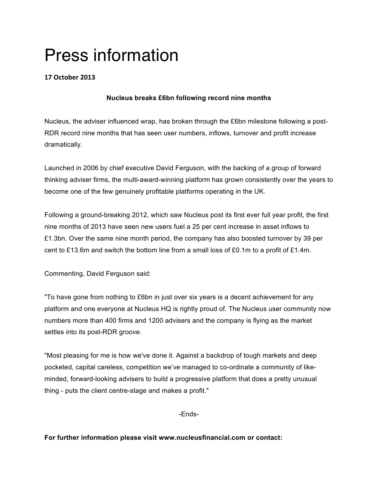## Press information

## **17 October#2013**

## **Nucleus breaks £6bn following record nine months**

Nucleus, the adviser influenced wrap, has broken through the £6bn milestone following a post-RDR record nine months that has seen user numbers, inflows, turnover and profit increase dramatically.

Launched in 2006 by chief executive David Ferguson, with the backing of a group of forward thinking adviser firms, the multi-award-winning platform has grown consistently over the years to become one of the few genuinely profitable platforms operating in the UK.

Following a ground-breaking 2012, which saw Nucleus post its first ever full year profit, the first nine months of 2013 have seen new users fuel a 25 per cent increase in asset inflows to £1.3bn. Over the same nine month period, the company has also boosted turnover by 39 per cent to £13.6m and switch the bottom line from a small loss of £0.1m to a profit of £1.4m.

Commenting, David Ferguson said:

"To have gone from nothing to £6bn in just over six years is a decent achievement for any platform and one everyone at Nucleus HQ is rightly proud of. The Nucleus user community now numbers more than 400 firms and 1200 advisers and the company is flying as the market settles into its post-RDR groove.

"Most pleasing for me is how we've done it. Against a backdrop of tough markets and deep pocketed, capital careless, competition we've managed to co-ordinate a community of likeminded, forward-looking advisers to build a progressive platform that does a pretty unusual thing - puts the client centre-stage and makes a profit."

-Ends-

**For further information please visit www.nucleusfinancial.com or contact:**